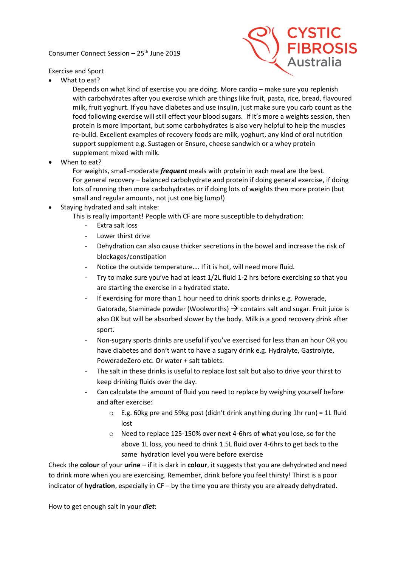Consumer Connect Session – 25th June 2019



Exercise and Sport

• What to eat?

Depends on what kind of exercise you are doing. More cardio – make sure you replenish with carbohydrates after you exercise which are things like fruit, pasta, rice, bread, flavoured milk, fruit yoghurt. If you have diabetes and use insulin, just make sure you carb count as the food following exercise will still effect your blood sugars. If it's more a weights session, then protein is more important, but some carbohydrates is also very helpful to help the muscles re-build. Excellent examples of recovery foods are milk, yoghurt, any kind of oral nutrition support supplement e.g. Sustagen or Ensure, cheese sandwich or a whey protein supplement mixed with milk.

• When to eat?

For weights, small-moderate *frequent* meals with protein in each meal are the best. For general recovery – balanced carbohydrate and protein if doing general exercise, if doing lots of running then more carbohydrates or if doing lots of weights then more protein (but small and regular amounts, not just one big lump!)

• Staying hydrated and salt intake:

This is really important! People with CF are more susceptible to dehydration:

- Extra salt loss
- Lower thirst drive
- Dehydration can also cause thicker secretions in the bowel and increase the risk of blockages/constipation
- Notice the outside temperature.... If it is hot, will need more fluid.
- Try to make sure you've had at least 1/2L fluid 1-2 hrs before exercising so that you are starting the exercise in a hydrated state.
- If exercising for more than 1 hour need to drink sports drinks e.g. Powerade, Gatorade, Staminade powder (Woolworths)  $\rightarrow$  contains salt and sugar. Fruit juice is also OK but will be absorbed slower by the body. Milk is a good recovery drink after sport.
- Non-sugary sports drinks are useful if you've exercised for less than an hour OR you have diabetes and don't want to have a sugary drink e.g. Hydralyte, Gastrolyte, PoweradeZero etc. Or water + salt tablets.
- The salt in these drinks is useful to replace lost salt but also to drive your thirst to keep drinking fluids over the day.
- Can calculate the amount of fluid you need to replace by weighing yourself before and after exercise:
	- $\circ$  E.g. 60kg pre and 59kg post (didn't drink anything during 1hr run) = 1L fluid lost
	- o Need to replace 125-150% over next 4-6hrs of what you lose, so for the above 1L loss, you need to drink 1.5L fluid over 4-6hrs to get back to the same hydration level you were before exercise

Check the **colour** of your **urine** – if it is dark in **colour**, it suggests that you are dehydrated and need to drink more when you are exercising. Remember, drink before you feel thirsty! Thirst is a poor indicator of **hydration**, especially in CF – by the time you are thirsty you are already dehydrated.

How to get enough salt in your *diet*: